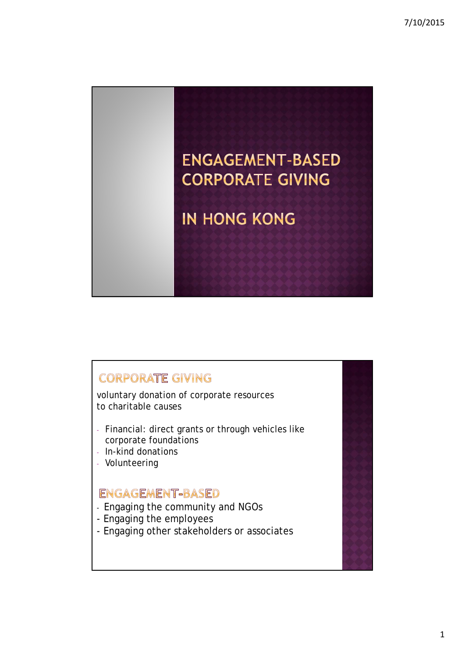

## **CORPORATE GIVING**

voluntary donation of corporate resources to charitable causes

- Financial: direct grants or through vehicles like corporate foundations
- In-kind donations
- Volunteering

## ENGAGEMENT-BASED

- Engaging the community and NGOs
- Engaging the employees
- Engaging other stakeholders or associates

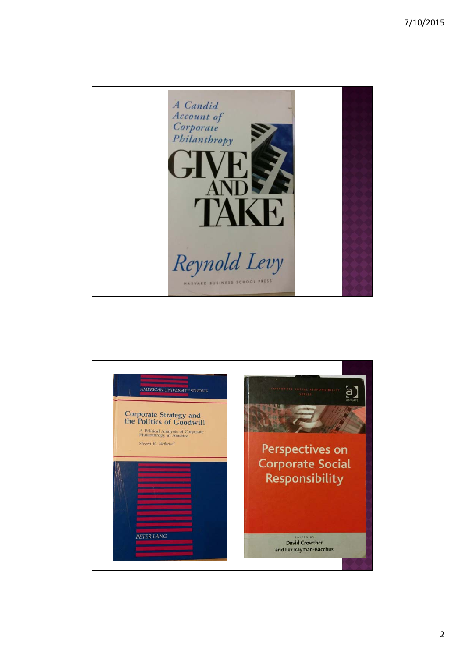

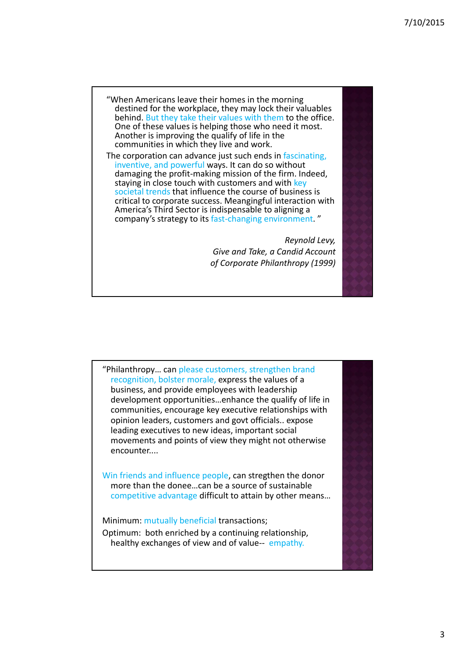"When Americans leave their homes in the morning destined for the workplace, they may lock their valuables behind. But they take their values with them to the office.<br>One of these values is helping those who need it most. Another is improving the qualify of life in the communities in which they live and work.

The corporation can advance just such ends in fascinating, inventive, and powerful ways. It can do so without damaging the profit‐making mission of the firm. Indeed, staying in close touch with customers and with key societal trends that influence the course of business is critical to corporate success. Meangingful interaction with America's Third Sector is indispensable to aligning a company's strategy to its fast-changing environment."

> *Reynold Levy, Give and Take, a Candid Account of Corporate Philanthropy (1999)*

"Philanthropy… can please customers, strengthen brand recognition, bolster morale, express the values of a business, and provide employees with leadership development opportunities…enhance the qualify of life in communities, encourage key executive relationships with opinion leaders, customers and govt officials.. expose leading executives to new ideas, important social movements and points of view they might not otherwise encounter....

Win friends and influence people, can stregthen the donor more than the donee…can be a source of sustainable competitive advantage difficult to attain by other means…

Minimum: mutually beneficial transactions;

Optimum: both enriched by a continuing relationship, healthy exchanges of view and of value-- empathy.